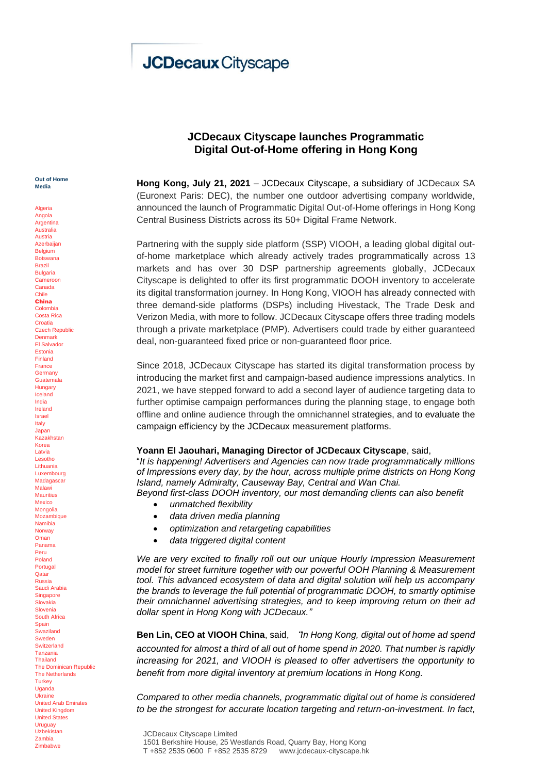# **JCDecaux Cityscape**

**Out of Home Media**

Algeria Angola **Argentina** Australia Austria Azerbaijan **Belgium** Botswana Brazil Bulgaria Cameroon Canada Chile China Colombia Costa Rica **Croatia** Czech Republic Denmark El Salvador Estonia Finland France Germany Guatemala **Hungary** Iceland India Ireland Israel Italy Japan Kazakhstan Korea Latvia Lesotho Lithuania Luxembourg Madagasca Malawi **Mauritius** Mexico **Mongolia** Mozambique Namibia Norway Oman Panama Peru Poland **Portugal Oatar** Russia Saudi Arabia **Singapore** Slovakia **Slovenia** South Africa **Spain** Swaziland Sweden **Switzerland** Tanzania Thailand The Dominican Republic The Netherlands **Turkey Uganda** Ukraine United Arab Emirates United Kingdom United States Uruguay Uzbekistan Zambia Zimbabwe

## **JCDecaux Cityscape launches Programmatic Digital Out-of-Home offering in Hong Kong**

**Hong Kong, July 21, 2021** – JCDecaux Cityscape, a subsidiary of JCDecaux SA (Euronext Paris: DEC), the number one outdoor advertising company worldwide, announced the launch of Programmatic Digital Out-of-Home offerings in Hong Kong Central Business Districts across its 50+ Digital Frame Network.

Partnering with the supply side platform (SSP) VIOOH, a leading global digital outof-home marketplace which already actively trades programmatically across 13 markets and has over 30 DSP partnership agreements globally, JCDecaux Cityscape is delighted to offer its first programmatic DOOH inventory to accelerate its digital transformation journey. In Hong Kong, VIOOH has already connected with three demand-side platforms (DSPs) including Hivestack, The Trade Desk and Verizon Media, with more to follow. JCDecaux Cityscape offers three trading models through a private marketplace (PMP). Advertisers could trade by either guaranteed deal, non-guaranteed fixed price or non-guaranteed floor price.

Since 2018, JCDecaux Cityscape has started its digital transformation process by introducing the market first and campaign-based audience impressions analytics. In 2021, we have stepped forward to add a second layer of audience targeting data to further optimise campaign performances during the planning stage, to engage both offline and online audience through the omnichannel strategies, and to evaluate the campaign efficiency by the JCDecaux measurement platforms.

### **Yoann El Jaouhari, Managing Director of JCDecaux Cityscape**, said,

"*It is happening! Advertisers and Agencies can now trade programmatically millions of Impressions every day, by the hour, across multiple prime districts on Hong Kong Island, namely Admiralty, Causeway Bay, Central and Wan Chai.* 

*Beyond first-class DOOH inventory, our most demanding clients can also benefit*

- *unmatched flexibility*
- *data driven media planning*
- *optimization and retargeting capabilities*
- *data triggered digital content*

*We are very excited to finally roll out our unique Hourly Impression Measurement model for street furniture together with our powerful OOH Planning & Measurement tool. This advanced ecosystem of data and digital solution will help us accompany the brands to leverage the full potential of programmatic DOOH, to smartly optimise their omnichannel advertising strategies, and to keep improving return on their ad dollar spent in Hong Kong with JCDecaux."*

**Ben Lin, CEO at VIOOH China**, said, "*In Hong Kong, digital out of home ad spend accounted for almost a third of all out of home spend in 2020. That number is rapidly increasing for 2021, and VIOOH is pleased to offer advertisers the opportunity to benefit from more digital inventory at premium locations in Hong Kong.*

*Compared to other media channels, programmatic digital out of home is considered to be the strongest for accurate location targeting and return-on-investment. In fact,*